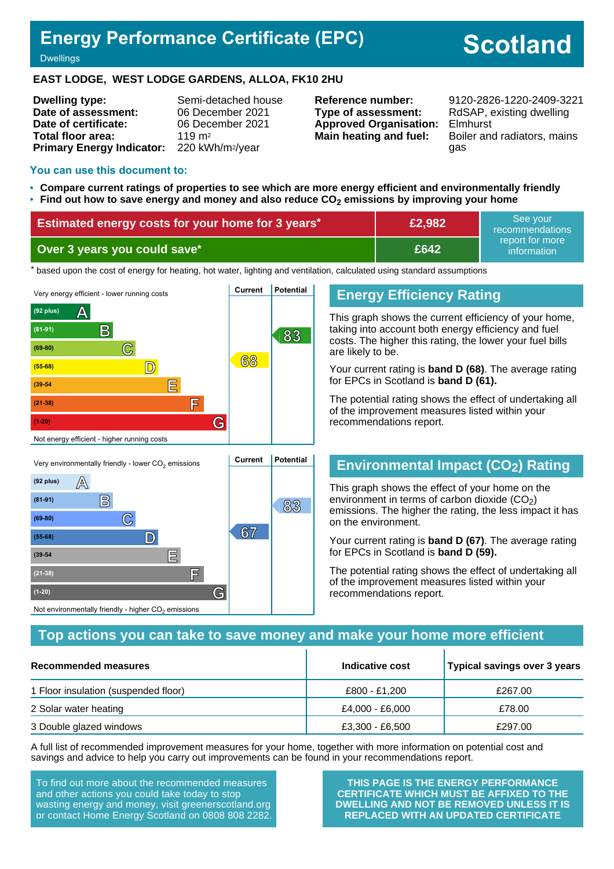# **Energy Performance Certificate (EPC)**

# **Scotland**

**Dwellings** 

#### **EAST LODGE, WEST LODGE GARDENS, ALLOA, FK10 2HU**

**Dwelling type:** Semi-detached house **Date of assessment:** 06 December 2021 **Date of certificate:** 06 December 2021 **Total floor area:** 119 m<sup>2</sup> **Primary Energy Indicator:** 220 kWh/m2/year

**Type of assessment:** RdSAP, existing dwelling **Approved Organisation:** Elmhurst

**Reference number:** 9120-2826-1220-2409-3221 **Main heating and fuel:** Boiler and radiators, mains gas

#### **You can use this document to:**

**(39-54 E**

**(21-38) F**

Not environmentally friendly - higher  $\mathrm{CO}_2$  emissions

**(1-20) G**

- **Compare current ratings of properties to see which are more energy efficient and environmentally friendly**
- **Find out how to save energy and money and also reduce CO2 emissions by improving your home**

| <b>Estimated energy costs for your home for 3 years*</b> | £2,982 | See vour<br>recommendations      |
|----------------------------------------------------------|--------|----------------------------------|
| Over 3 years you could save*                             | £642   | report for more !<br>information |

the based upon the cost of energy for heating, hot water, lighting and ventilation, calculated using standard assumptions



## **Energy Efficiency Rating**

This graph shows the current efficiency of your home, taking into account both energy efficiency and fuel costs. The higher this rating, the lower your fuel bills are likely to be.

Your current rating is **band D (68)**. The average rating for EPCs in Scotland is **band D (61).**

The potential rating shows the effect of undertaking all of the improvement measures listed within your recommendations report.

## **Environmental Impact (CO2) Rating**

This graph shows the effect of your home on the environment in terms of carbon dioxide  $(CO<sub>2</sub>)$ emissions. The higher the rating, the less impact it has on the environment.

Your current rating is **band D (67)**. The average rating for EPCs in Scotland is **band D (59).**

The potential rating shows the effect of undertaking all of the improvement measures listed within your recommendations report.

## **Top actions you can take to save money and make your home more efficient**

| Recommended measures                 | Indicative cost | Typical savings over 3 years |
|--------------------------------------|-----------------|------------------------------|
| 1 Floor insulation (suspended floor) | £800 - £1.200   | £267.00                      |
| 2 Solar water heating                | £4,000 - £6,000 | £78.00                       |
| 3 Double glazed windows              | £3,300 - £6,500 | £297.00                      |

A full list of recommended improvement measures for your home, together with more information on potential cost and savings and advice to help you carry out improvements can be found in your recommendations report.

To find out more about the recommended measures and other actions you could take today to stop wasting energy and money, visit greenerscotland.org or contact Home Energy Scotland on 0808 808 2282.

**THIS PAGE IS THE ENERGY PERFORMANCE CERTIFICATE WHICH MUST BE AFFIXED TO THE DWELLING AND NOT BE REMOVED UNLESS IT IS REPLACED WITH AN UPDATED CERTIFICATE**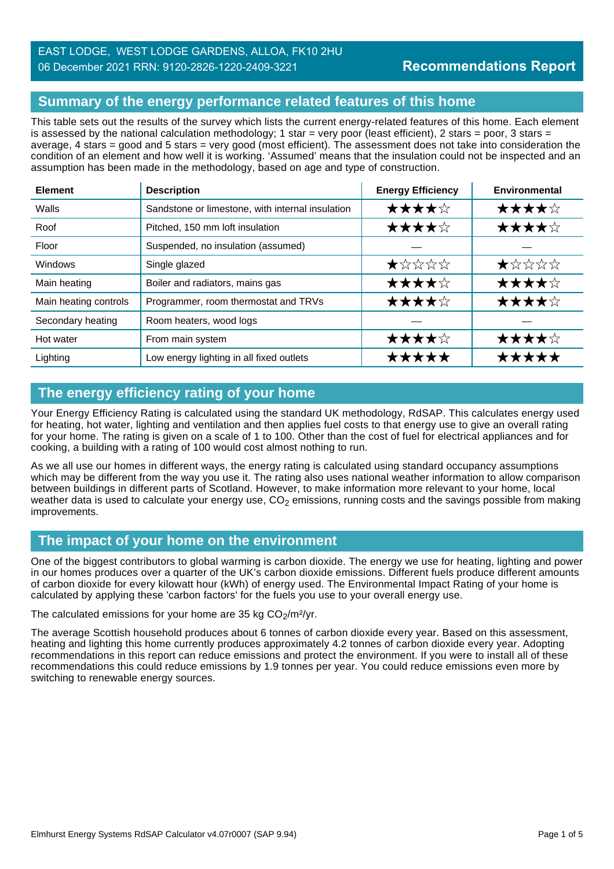## EAST LODGE, WEST LODGE GARDENS, ALLOA, FK10 2HU 06 December 2021 RRN: 9120-2826-1220-2409-3221

## **Summary of the energy performance related features of this home**

This table sets out the results of the survey which lists the current energy-related features of this home. Each element is assessed by the national calculation methodology; 1 star = very poor (least efficient), 2 stars = poor, 3 stars = average, 4 stars = good and 5 stars = very good (most efficient). The assessment does not take into consideration the condition of an element and how well it is working. 'Assumed' means that the insulation could not be inspected and an assumption has been made in the methodology, based on age and type of construction.

| <b>Element</b>        | <b>Description</b>                               | <b>Energy Efficiency</b> | Environmental |
|-----------------------|--------------------------------------------------|--------------------------|---------------|
| Walls                 | Sandstone or limestone, with internal insulation | ★★★★☆                    | ★★★★☆         |
| Roof                  | Pitched, 150 mm loft insulation                  | ★★★★☆                    | ★★★★☆         |
| Floor                 | Suspended, no insulation (assumed)               |                          |               |
| <b>Windows</b>        | Single glazed                                    | ★☆☆☆☆                    | ★☆☆☆☆         |
| Main heating          | Boiler and radiators, mains gas                  | ★★★★☆                    | ★★★★☆         |
| Main heating controls | Programmer, room thermostat and TRVs             | ★★★★☆                    | ★★★★☆         |
| Secondary heating     | Room heaters, wood logs                          |                          |               |
| Hot water             | From main system                                 | ★★★★☆                    | ★★★★☆         |
| Lighting              | Low energy lighting in all fixed outlets         | *****                    | *****         |

## **The energy efficiency rating of your home**

Your Energy Efficiency Rating is calculated using the standard UK methodology, RdSAP. This calculates energy used for heating, hot water, lighting and ventilation and then applies fuel costs to that energy use to give an overall rating for your home. The rating is given on a scale of 1 to 100. Other than the cost of fuel for electrical appliances and for cooking, a building with a rating of 100 would cost almost nothing to run.

As we all use our homes in different ways, the energy rating is calculated using standard occupancy assumptions which may be different from the way you use it. The rating also uses national weather information to allow comparison between buildings in different parts of Scotland. However, to make information more relevant to your home, local weather data is used to calculate your energy use,  $CO<sub>2</sub>$  emissions, running costs and the savings possible from making improvements.

## **The impact of your home on the environment**

One of the biggest contributors to global warming is carbon dioxide. The energy we use for heating, lighting and power in our homes produces over a quarter of the UK's carbon dioxide emissions. Different fuels produce different amounts of carbon dioxide for every kilowatt hour (kWh) of energy used. The Environmental Impact Rating of your home is calculated by applying these 'carbon factors' for the fuels you use to your overall energy use.

The calculated emissions for your home are 35 kg  $CO<sub>2</sub>/m<sup>2</sup>/yr$ .

The average Scottish household produces about 6 tonnes of carbon dioxide every year. Based on this assessment, heating and lighting this home currently produces approximately 4.2 tonnes of carbon dioxide every year. Adopting recommendations in this report can reduce emissions and protect the environment. If you were to install all of these recommendations this could reduce emissions by 1.9 tonnes per year. You could reduce emissions even more by switching to renewable energy sources.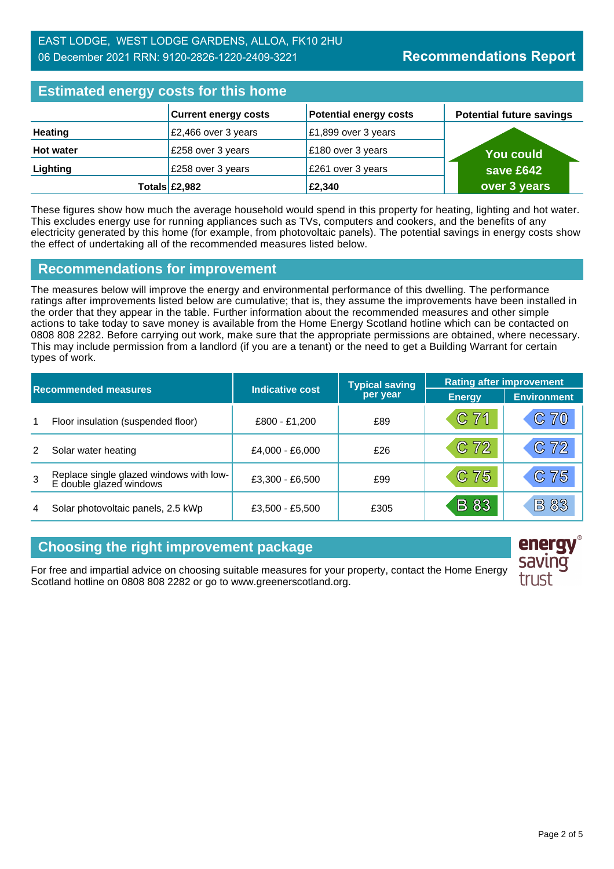| <b>Estimated energy costs for this home</b> |  |
|---------------------------------------------|--|
|                                             |  |

| <b>LUMINUM UNUI YY UUUNU TUI MINU NUMINU</b> |                                     |                               |                                 |  |
|----------------------------------------------|-------------------------------------|-------------------------------|---------------------------------|--|
|                                              | <b>Current energy costs</b>         | <b>Potential energy costs</b> | <b>Potential future savings</b> |  |
| <b>Heating</b>                               | £2,466 over 3 years                 | £1,899 over 3 years           |                                 |  |
| <b>Hot water</b>                             | £258 over 3 years                   | £180 over 3 years             | <b>You could</b>                |  |
| Lighting                                     | £258 over 3 years                   | £261 over 3 years             | save £642                       |  |
|                                              | Totals $\left  \pounds2,982\right $ | £2,340                        | over 3 years                    |  |

These figures show how much the average household would spend in this property for heating, lighting and hot water. This excludes energy use for running appliances such as TVs, computers and cookers, and the benefits of any electricity generated by this home (for example, from photovoltaic panels). The potential savings in energy costs show the effect of undertaking all of the recommended measures listed below.

## **Recommendations for improvement**

The measures below will improve the energy and environmental performance of this dwelling. The performance ratings after improvements listed below are cumulative; that is, they assume the improvements have been installed in the order that they appear in the table. Further information about the recommended measures and other simple actions to take today to save money is available from the Home Energy Scotland hotline which can be contacted on 0808 808 2282. Before carrying out work, make sure that the appropriate permissions are obtained, where necessary. This may include permission from a landlord (if you are a tenant) or the need to get a Building Warrant for certain types of work.

| <b>Recommended measures</b> |                                                                    |                        | <b>Typical saving</b> | <b>Rating after improvement</b> |                    |
|-----------------------------|--------------------------------------------------------------------|------------------------|-----------------------|---------------------------------|--------------------|
|                             |                                                                    | <b>Indicative cost</b> | per year              | <b>Energy</b>                   | <b>Environment</b> |
| 1                           | Floor insulation (suspended floor)                                 | £800 - £1,200          | £89                   | C71                             | C70                |
| 2                           | Solar water heating                                                | £4,000 - £6,000        | £26                   | $C$ 72                          | C72                |
| 3                           | Replace single glazed windows with low-<br>E double glazed windows | £3,300 - £6,500        | £99                   | $C$ 75                          | C 75               |
| 4                           | Solar photovoltaic panels, 2.5 kWp                                 | £3,500 - £5,500        | £305                  | <b>B</b> 83                     | <b>B83</b>         |

## **Choosing the right improvement package**

For free and impartial advice on choosing suitable measures for your property, contact the Home Energy Scotland hotline on 0808 808 2282 or go to www.greenerscotland.org.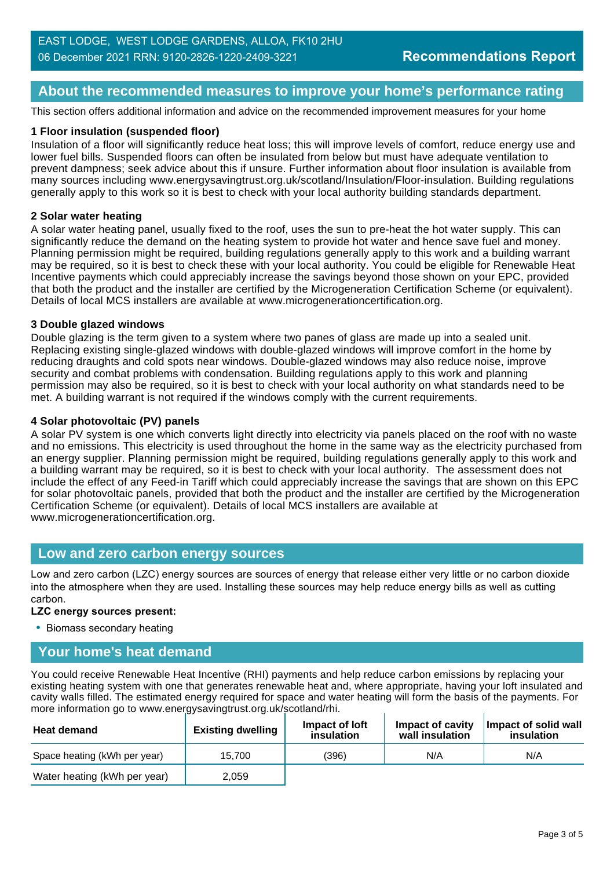## **About the recommended measures to improve your home's performance rating**

This section offers additional information and advice on the recommended improvement measures for your home

#### **1 Floor insulation (suspended floor)**

Insulation of a floor will significantly reduce heat loss; this will improve levels of comfort, reduce energy use and lower fuel bills. Suspended floors can often be insulated from below but must have adequate ventilation to prevent dampness; seek advice about this if unsure. Further information about floor insulation is available from many sources including www.energysavingtrust.org.uk/scotland/Insulation/Floor-insulation. Building regulations generally apply to this work so it is best to check with your local authority building standards department.

#### **2 Solar water heating**

A solar water heating panel, usually fixed to the roof, uses the sun to pre-heat the hot water supply. This can significantly reduce the demand on the heating system to provide hot water and hence save fuel and money. Planning permission might be required, building regulations generally apply to this work and a building warrant may be required, so it is best to check these with your local authority. You could be eligible for Renewable Heat Incentive payments which could appreciably increase the savings beyond those shown on your EPC, provided that both the product and the installer are certified by the Microgeneration Certification Scheme (or equivalent). Details of local MCS installers are available at www.microgenerationcertification.org.

#### **3 Double glazed windows**

Double glazing is the term given to a system where two panes of glass are made up into a sealed unit. Replacing existing single-glazed windows with double-glazed windows will improve comfort in the home by reducing draughts and cold spots near windows. Double-glazed windows may also reduce noise, improve security and combat problems with condensation. Building regulations apply to this work and planning permission may also be required, so it is best to check with your local authority on what standards need to be met. A building warrant is not required if the windows comply with the current requirements.

#### **4 Solar photovoltaic (PV) panels**

A solar PV system is one which converts light directly into electricity via panels placed on the roof with no waste and no emissions. This electricity is used throughout the home in the same way as the electricity purchased from an energy supplier. Planning permission might be required, building regulations generally apply to this work and a building warrant may be required, so it is best to check with your local authority. The assessment does not include the effect of any Feed-in Tariff which could appreciably increase the savings that are shown on this EPC for solar photovoltaic panels, provided that both the product and the installer are certified by the Microgeneration Certification Scheme (or equivalent). Details of local MCS installers are available at www.microgenerationcertification.org.

#### **Low and zero carbon energy sources**

Low and zero carbon (LZC) energy sources are sources of energy that release either very little or no carbon dioxide into the atmosphere when they are used. Installing these sources may help reduce energy bills as well as cutting carbon.

#### **LZC energy sources present:**

• Biomass secondary heating

## **Your home's heat demand**

You could receive Renewable Heat Incentive (RHI) payments and help reduce carbon emissions by replacing your existing heating system with one that generates renewable heat and, where appropriate, having your loft insulated and cavity walls filled. The estimated energy required for space and water heating will form the basis of the payments. For more information go to www.energysavingtrust.org.uk/scotland/rhi.

| <b>Heat demand</b>           | <b>Existing dwelling</b> | Impact of Joft<br>insulation | Impact of cavity<br>wall insulation | Impact of solid wall<br>insulation |
|------------------------------|--------------------------|------------------------------|-------------------------------------|------------------------------------|
| Space heating (kWh per year) | 15.700                   | (396)                        | N/A                                 | N/A                                |
| Water heating (kWh per year) | 2.059                    |                              |                                     |                                    |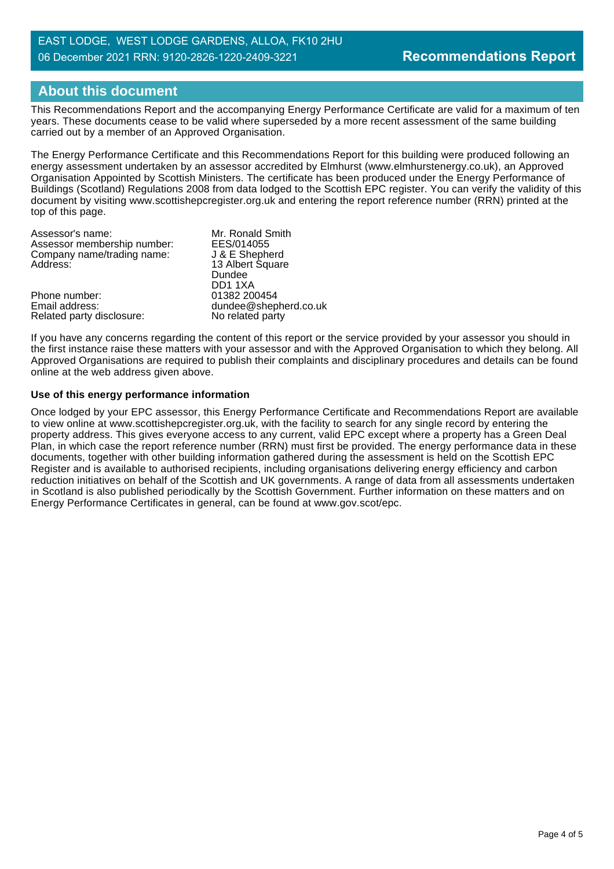### EAST LODGE, WEST LODGE GARDENS, ALLOA, FK10 2HU 06 December 2021 RRN: 9120-2826-1220-2409-3221

## **About this document**

This Recommendations Report and the accompanying Energy Performance Certificate are valid for a maximum of ten years. These documents cease to be valid where superseded by a more recent assessment of the same building carried out by a member of an Approved Organisation.

The Energy Performance Certificate and this Recommendations Report for this building were produced following an energy assessment undertaken by an assessor accredited by Elmhurst (www.elmhurstenergy.co.uk), an Approved Organisation Appointed by Scottish Ministers. The certificate has been produced under the Energy Performance of Buildings (Scotland) Regulations 2008 from data lodged to the Scottish EPC register. You can verify the validity of this document by visiting www.scottishepcregister.org.uk and entering the report reference number (RRN) printed at the top of this page.

| Assessor's name:            | Mr. Ronald Smith      |
|-----------------------------|-----------------------|
| Assessor membership number: | EES/014055            |
| Company name/trading name:  | J & E Shepherd        |
| Address:                    | 13 Albert Square      |
|                             | Dundee                |
|                             | DD11XA                |
| Phone number:               | 01382 200454          |
| Email address:              | dundee@shepherd.co.uk |
| Related party disclosure:   | No related party      |

If you have any concerns regarding the content of this report or the service provided by your assessor you should in the first instance raise these matters with your assessor and with the Approved Organisation to which they belong. All Approved Organisations are required to publish their complaints and disciplinary procedures and details can be found online at the web address given above.

#### **Use of this energy performance information**

Once lodged by your EPC assessor, this Energy Performance Certificate and Recommendations Report are available to view online at www.scottishepcregister.org.uk, with the facility to search for any single record by entering the property address. This gives everyone access to any current, valid EPC except where a property has a Green Deal Plan, in which case the report reference number (RRN) must first be provided. The energy performance data in these documents, together with other building information gathered during the assessment is held on the Scottish EPC Register and is available to authorised recipients, including organisations delivering energy efficiency and carbon reduction initiatives on behalf of the Scottish and UK governments. A range of data from all assessments undertaken in Scotland is also published periodically by the Scottish Government. Further information on these matters and on Energy Performance Certificates in general, can be found at www.gov.scot/epc.